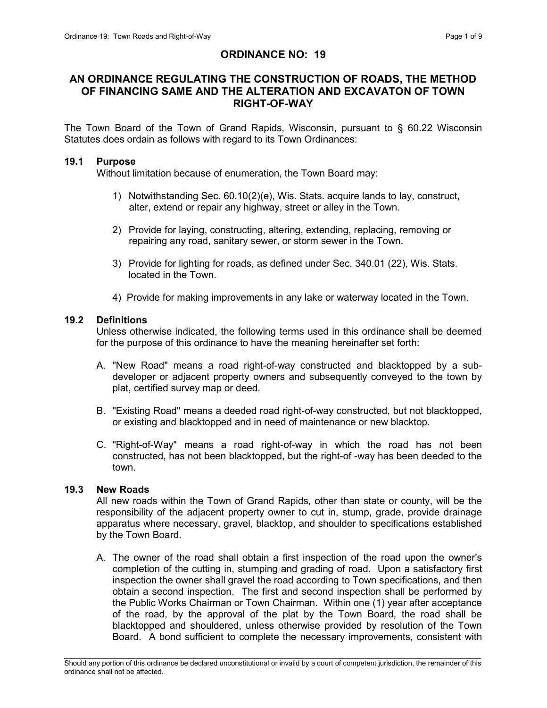## ORDINANCE NO: 19

## AN ORDINANCE REGULATING THE CONSTRUCTION OF ROADS, THE METHOD OF FINANCING SAME AND THE ALTERATION AND EXCAVATON OF TOWN RIGHT-OF-WAY

The Town Board of the Town of Grand Rapids, Wisconsin, pursuant to § 60.22 Wisconsin Statutes does ordain as follows with regard to its Town Ordinances:

#### 19.1 Purpose

Without limitation because of enumeration, the Town Board may:

- 1) Notwithstanding Sec. 60.10(2)(e), Wis. Stats. acquire lands to lay, construct, alter, extend or repair any highway, street or alley in the Town.
- 2) Provide for laying, constructing, altering, extending, replacing, removing or repairing any road, sanitary sewer, or storm sewer in the Town.
- 3) Provide for lighting for roads, as defined under Sec. 340.01 (22), Wis. Stats. located in the Town.
- 4) Provide for making improvements in any lake or waterway located in the Town.

#### 19.2 Definitions

Unless otherwise indicated, the following terms used in this ordinance shall be deemed for the purpose of this ordinance to have the meaning hereinafter set forth:

- A. "New Road" means a road right-of-way constructed and blacktopped by a subdeveloper or adjacent property owners and subsequently conveyed to the town by plat, certified survey map or deed.
- B. "Existing Road" means a deeded road right-of-way constructed, but not blacktopped, or existing and blacktopped and in need of maintenance or new blacktop.
- C. "Right-of-Way" means a road right-of-way in which the road has not been constructed, has not been blacktopped, but the right-of -way has been deeded to the town.

#### 19.3 New Roads

All new roads within the Town of Grand Rapids, other than state or county, will be the responsibility of the adjacent property owner to cut in, stump, grade, provide drainage apparatus where necessary, gravel, blacktop, and shoulder to specifications established by the Town Board.

A. The owner of the road shall obtain a first inspection of the road upon the owner's completion of the cutting in, stumping and grading of road. Upon a satisfactory first inspection the owner shall gravel the road according to Town specifications, and then obtain a second inspection. The first and second inspection shall be performed by the Public Works Chairman or Town Chairman. Within one (1) year after acceptance of the road, by the approval of the plat by the Town Board, the road shall be blacktopped and shouldered, unless otherwise provided by resolution of the Town Board. A bond sufficient to complete the necessary improvements, consistent with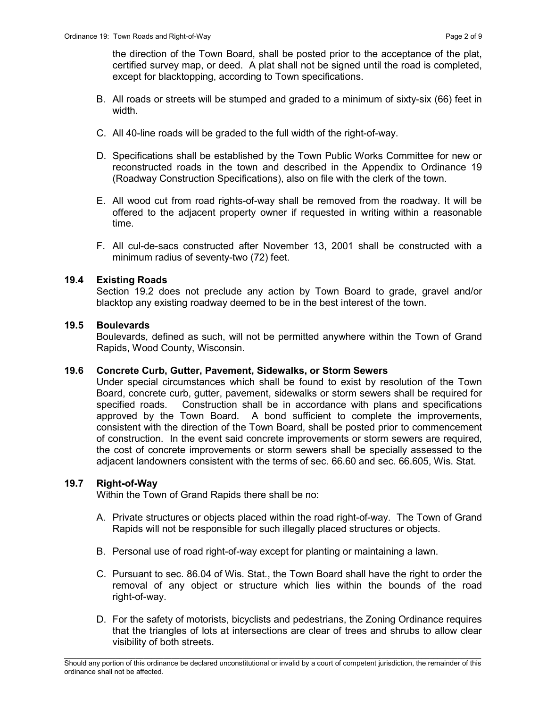the direction of the Town Board, shall be posted prior to the acceptance of the plat, certified survey map, or deed. A plat shall not be signed until the road is completed, except for blacktopping, according to Town specifications.

- B. All roads or streets will be stumped and graded to a minimum of sixty-six (66) feet in width.
- C. All 40-line roads will be graded to the full width of the right-of-way.
- D. Specifications shall be established by the Town Public Works Committee for new or reconstructed roads in the town and described in the Appendix to Ordinance 19 (Roadway Construction Specifications), also on file with the clerk of the town.
- E. All wood cut from road rights-of-way shall be removed from the roadway. It will be offered to the adjacent property owner if requested in writing within a reasonable time.
- F. All cul-de-sacs constructed after November 13, 2001 shall be constructed with a minimum radius of seventy-two (72) feet.

## 19.4 Existing Roads

Section 19.2 does not preclude any action by Town Board to grade, gravel and/or blacktop any existing roadway deemed to be in the best interest of the town.

## 19.5 Boulevards

Boulevards, defined as such, will not be permitted anywhere within the Town of Grand Rapids, Wood County, Wisconsin.

## 19.6 Concrete Curb, Gutter, Pavement, Sidewalks, or Storm Sewers

Under special circumstances which shall be found to exist by resolution of the Town Board, concrete curb, gutter, pavement, sidewalks or storm sewers shall be required for specified roads. Construction shall be in accordance with plans and specifications approved by the Town Board. A bond sufficient to complete the improvements, consistent with the direction of the Town Board, shall be posted prior to commencement of construction. In the event said concrete improvements or storm sewers are required, the cost of concrete improvements or storm sewers shall be specially assessed to the adjacent landowners consistent with the terms of sec. 66.60 and sec. 66.605, Wis. Stat.

## 19.7 Right-of-Way

Within the Town of Grand Rapids there shall be no:

- A. Private structures or objects placed within the road right-of-way. The Town of Grand Rapids will not be responsible for such illegally placed structures or objects.
- B. Personal use of road right-of-way except for planting or maintaining a lawn.
- C. Pursuant to sec. 86.04 of Wis. Stat., the Town Board shall have the right to order the removal of any object or structure which lies within the bounds of the road right-of-way.
- D. For the safety of motorists, bicyclists and pedestrians, the Zoning Ordinance requires that the triangles of lots at intersections are clear of trees and shrubs to allow clear visibility of both streets.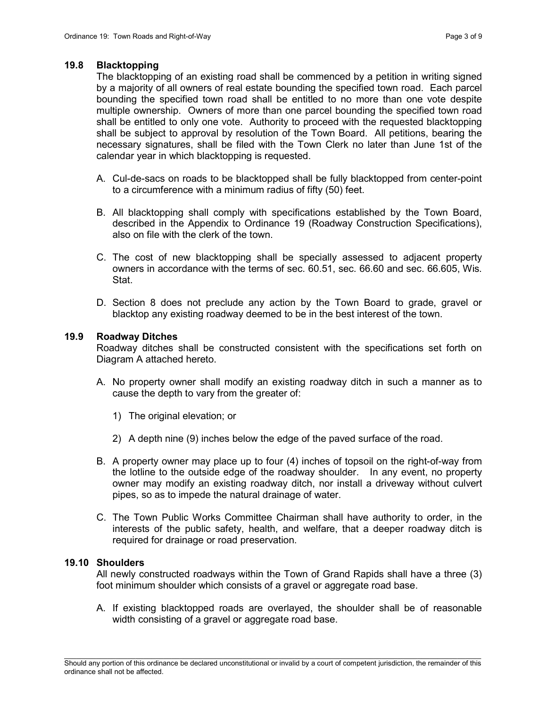#### 19.8 Blacktopping

The blacktopping of an existing road shall be commenced by a petition in writing signed by a majority of all owners of real estate bounding the specified town road. Each parcel bounding the specified town road shall be entitled to no more than one vote despite multiple ownership. Owners of more than one parcel bounding the specified town road shall be entitled to only one vote. Authority to proceed with the requested blacktopping shall be subject to approval by resolution of the Town Board. All petitions, bearing the necessary signatures, shall be filed with the Town Clerk no later than June 1st of the calendar year in which blacktopping is requested.

- A. Cul-de-sacs on roads to be blacktopped shall be fully blacktopped from center-point to a circumference with a minimum radius of fifty (50) feet.
- B. All blacktopping shall comply with specifications established by the Town Board, described in the Appendix to Ordinance 19 (Roadway Construction Specifications), also on file with the clerk of the town.
- C. The cost of new blacktopping shall be specially assessed to adjacent property owners in accordance with the terms of sec. 60.51, sec. 66.60 and sec. 66.605, Wis. Stat.
- D. Section 8 does not preclude any action by the Town Board to grade, gravel or blacktop any existing roadway deemed to be in the best interest of the town.

#### 19.9 Roadway Ditches

 Roadway ditches shall be constructed consistent with the specifications set forth on Diagram A attached hereto.

- A. No property owner shall modify an existing roadway ditch in such a manner as to cause the depth to vary from the greater of:
	- 1) The original elevation; or
	- 2) A depth nine (9) inches below the edge of the paved surface of the road.
- B. A property owner may place up to four (4) inches of topsoil on the right-of-way from the lotline to the outside edge of the roadway shoulder. In any event, no property owner may modify an existing roadway ditch, nor install a driveway without culvert pipes, so as to impede the natural drainage of water.
- C. The Town Public Works Committee Chairman shall have authority to order, in the interests of the public safety, health, and welfare, that a deeper roadway ditch is required for drainage or road preservation.

#### 19.10 Shoulders

All newly constructed roadways within the Town of Grand Rapids shall have a three (3) foot minimum shoulder which consists of a gravel or aggregate road base.

A. If existing blacktopped roads are overlayed, the shoulder shall be of reasonable width consisting of a gravel or aggregate road base.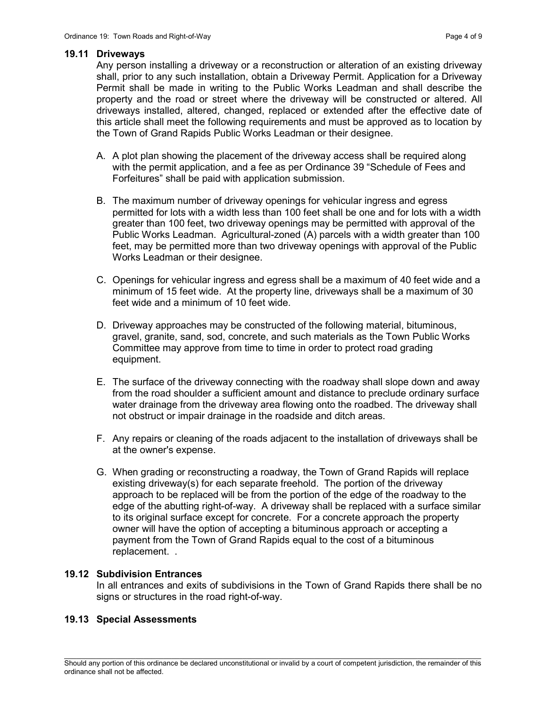#### 19.11 Driveways

Any person installing a driveway or a reconstruction or alteration of an existing driveway shall, prior to any such installation, obtain a Driveway Permit. Application for a Driveway Permit shall be made in writing to the Public Works Leadman and shall describe the property and the road or street where the driveway will be constructed or altered. All driveways installed, altered, changed, replaced or extended after the effective date of this article shall meet the following requirements and must be approved as to location by the Town of Grand Rapids Public Works Leadman or their designee.

- A. A plot plan showing the placement of the driveway access shall be required along with the permit application, and a fee as per Ordinance 39 "Schedule of Fees and Forfeitures" shall be paid with application submission.
- B. The maximum number of driveway openings for vehicular ingress and egress permitted for lots with a width less than 100 feet shall be one and for lots with a width greater than 100 feet, two driveway openings may be permitted with approval of the Public Works Leadman. Agricultural-zoned (A) parcels with a width greater than 100 feet, may be permitted more than two driveway openings with approval of the Public Works Leadman or their designee.
- C. Openings for vehicular ingress and egress shall be a maximum of 40 feet wide and a minimum of 15 feet wide. At the property line, driveways shall be a maximum of 30 feet wide and a minimum of 10 feet wide.
- D. Driveway approaches may be constructed of the following material, bituminous, gravel, granite, sand, sod, concrete, and such materials as the Town Public Works Committee may approve from time to time in order to protect road grading equipment.
- E. The surface of the driveway connecting with the roadway shall slope down and away from the road shoulder a sufficient amount and distance to preclude ordinary surface water drainage from the driveway area flowing onto the roadbed. The driveway shall not obstruct or impair drainage in the roadside and ditch areas.
- F. Any repairs or cleaning of the roads adjacent to the installation of driveways shall be at the owner's expense.
- G. When grading or reconstructing a roadway, the Town of Grand Rapids will replace existing driveway(s) for each separate freehold. The portion of the driveway approach to be replaced will be from the portion of the edge of the roadway to the edge of the abutting right-of-way. A driveway shall be replaced with a surface similar to its original surface except for concrete. For a concrete approach the property owner will have the option of accepting a bituminous approach or accepting a payment from the Town of Grand Rapids equal to the cost of a bituminous replacement. .

## 19.12 Subdivision Entrances

In all entrances and exits of subdivisions in the Town of Grand Rapids there shall be no signs or structures in the road right-of-way.

#### 19.13 Special Assessments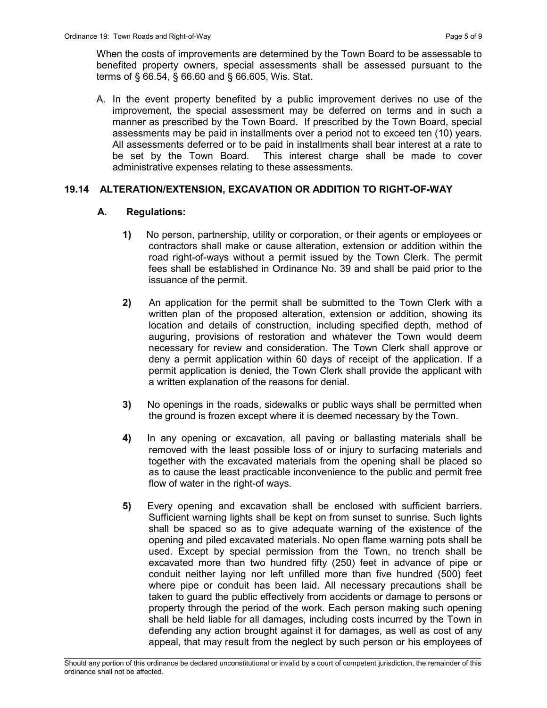When the costs of improvements are determined by the Town Board to be assessable to benefited property owners, special assessments shall be assessed pursuant to the terms of § 66.54, § 66.60 and § 66.605, Wis. Stat.

A. In the event property benefited by a public improvement derives no use of the improvement, the special assessment may be deferred on terms and in such a manner as prescribed by the Town Board. If prescribed by the Town Board, special assessments may be paid in installments over a period not to exceed ten (10) years. All assessments deferred or to be paid in installments shall bear interest at a rate to be set by the Town Board. This interest charge shall be made to cover administrative expenses relating to these assessments.

## 19.14 ALTERATION/EXTENSION, EXCAVATION OR ADDITION TO RIGHT-OF-WAY

## A. Regulations:

- 1) No person, partnership, utility or corporation, or their agents or employees or contractors shall make or cause alteration, extension or addition within the road right-of-ways without a permit issued by the Town Clerk. The permit fees shall be established in Ordinance No. 39 and shall be paid prior to the issuance of the permit.
- 2) An application for the permit shall be submitted to the Town Clerk with a written plan of the proposed alteration, extension or addition, showing its location and details of construction, including specified depth, method of auguring, provisions of restoration and whatever the Town would deem necessary for review and consideration. The Town Clerk shall approve or deny a permit application within 60 days of receipt of the application. If a permit application is denied, the Town Clerk shall provide the applicant with a written explanation of the reasons for denial.
- 3) No openings in the roads, sidewalks or public ways shall be permitted when the ground is frozen except where it is deemed necessary by the Town.
- 4) In any opening or excavation, all paving or ballasting materials shall be removed with the least possible loss of or injury to surfacing materials and together with the excavated materials from the opening shall be placed so as to cause the least practicable inconvenience to the public and permit free flow of water in the right-of ways.
- 5) Every opening and excavation shall be enclosed with sufficient barriers. Sufficient warning lights shall be kept on from sunset to sunrise. Such lights shall be spaced so as to give adequate warning of the existence of the opening and piled excavated materials. No open flame warning pots shall be used. Except by special permission from the Town, no trench shall be excavated more than two hundred fifty (250) feet in advance of pipe or conduit neither laying nor left unfilled more than five hundred (500) feet where pipe or conduit has been laid. All necessary precautions shall be taken to guard the public effectively from accidents or damage to persons or property through the period of the work. Each person making such opening shall be held liable for all damages, including costs incurred by the Town in defending any action brought against it for damages, as well as cost of any appeal, that may result from the neglect by such person or his employees of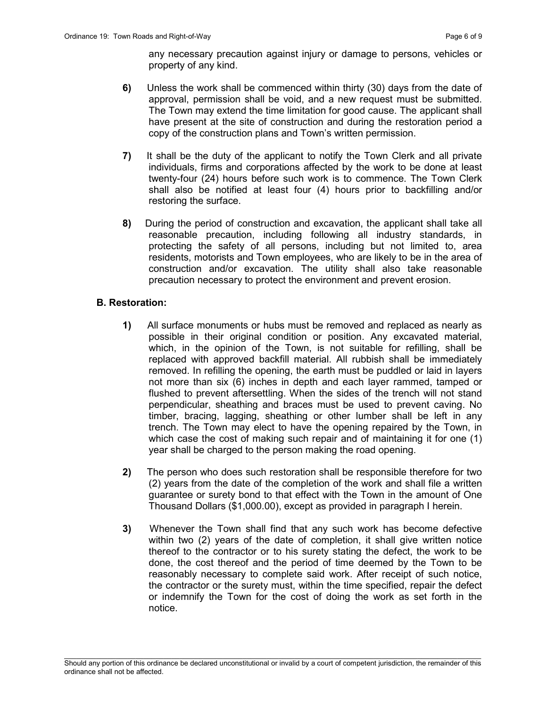any necessary precaution against injury or damage to persons, vehicles or property of any kind.

- 6) Unless the work shall be commenced within thirty (30) days from the date of approval, permission shall be void, and a new request must be submitted. The Town may extend the time limitation for good cause. The applicant shall have present at the site of construction and during the restoration period a copy of the construction plans and Town's written permission.
- 7) It shall be the duty of the applicant to notify the Town Clerk and all private individuals, firms and corporations affected by the work to be done at least twenty-four (24) hours before such work is to commence. The Town Clerk shall also be notified at least four (4) hours prior to backfilling and/or restoring the surface.
- 8) During the period of construction and excavation, the applicant shall take all reasonable precaution, including following all industry standards, in protecting the safety of all persons, including but not limited to, area residents, motorists and Town employees, who are likely to be in the area of construction and/or excavation. The utility shall also take reasonable precaution necessary to protect the environment and prevent erosion.

#### B. Restoration:

- 1) All surface monuments or hubs must be removed and replaced as nearly as possible in their original condition or position. Any excavated material, which, in the opinion of the Town, is not suitable for refilling, shall be replaced with approved backfill material. All rubbish shall be immediately removed. In refilling the opening, the earth must be puddled or laid in layers not more than six (6) inches in depth and each layer rammed, tamped or flushed to prevent aftersettling. When the sides of the trench will not stand perpendicular, sheathing and braces must be used to prevent caving. No timber, bracing, lagging, sheathing or other lumber shall be left in any trench. The Town may elect to have the opening repaired by the Town, in which case the cost of making such repair and of maintaining it for one (1) year shall be charged to the person making the road opening.
- 2) The person who does such restoration shall be responsible therefore for two (2) years from the date of the completion of the work and shall file a written guarantee or surety bond to that effect with the Town in the amount of One Thousand Dollars (\$1,000.00), except as provided in paragraph I herein.
- 3) Whenever the Town shall find that any such work has become defective within two (2) years of the date of completion, it shall give written notice thereof to the contractor or to his surety stating the defect, the work to be done, the cost thereof and the period of time deemed by the Town to be reasonably necessary to complete said work. After receipt of such notice, the contractor or the surety must, within the time specified, repair the defect or indemnify the Town for the cost of doing the work as set forth in the notice.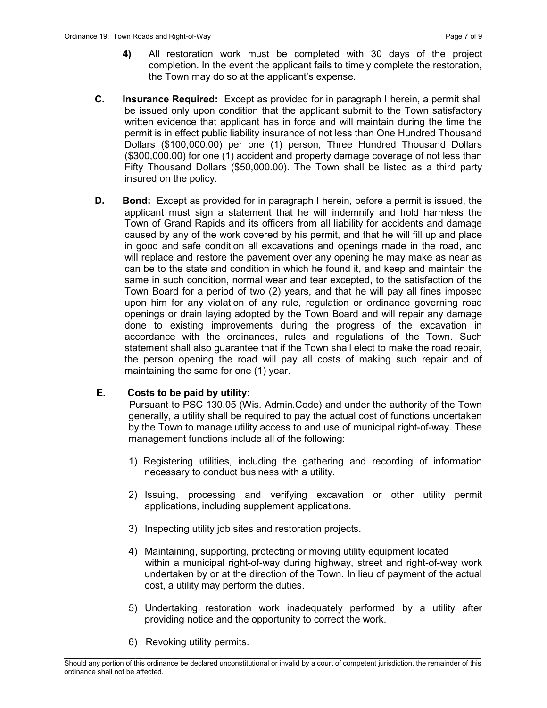- 4) All restoration work must be completed with 30 days of the project completion. In the event the applicant fails to timely complete the restoration, the Town may do so at the applicant's expense.
- C. Insurance Required: Except as provided for in paragraph I herein, a permit shall be issued only upon condition that the applicant submit to the Town satisfactory written evidence that applicant has in force and will maintain during the time the permit is in effect public liability insurance of not less than One Hundred Thousand Dollars (\$100,000.00) per one (1) person, Three Hundred Thousand Dollars (\$300,000.00) for one (1) accident and property damage coverage of not less than Fifty Thousand Dollars (\$50,000.00). The Town shall be listed as a third party insured on the policy.
- **D.** Bond: Except as provided for in paragraph I herein, before a permit is issued, the applicant must sign a statement that he will indemnify and hold harmless the Town of Grand Rapids and its officers from all liability for accidents and damage caused by any of the work covered by his permit, and that he will fill up and place in good and safe condition all excavations and openings made in the road, and will replace and restore the pavement over any opening he may make as near as can be to the state and condition in which he found it, and keep and maintain the same in such condition, normal wear and tear excepted, to the satisfaction of the Town Board for a period of two (2) years, and that he will pay all fines imposed upon him for any violation of any rule, regulation or ordinance governing road openings or drain laying adopted by the Town Board and will repair any damage done to existing improvements during the progress of the excavation in accordance with the ordinances, rules and regulations of the Town. Such statement shall also guarantee that if the Town shall elect to make the road repair, the person opening the road will pay all costs of making such repair and of maintaining the same for one (1) year.

# E. Costs to be paid by utility:

 Pursuant to PSC 130.05 (Wis. Admin.Code) and under the authority of the Town generally, a utility shall be required to pay the actual cost of functions undertaken by the Town to manage utility access to and use of municipal right-of-way. These management functions include all of the following:

- 1) Registering utilities, including the gathering and recording of information necessary to conduct business with a utility.
- 2) Issuing, processing and verifying excavation or other utility permit applications, including supplement applications.
- 3) Inspecting utility job sites and restoration projects.
- 4) Maintaining, supporting, protecting or moving utility equipment located within a municipal right-of-way during highway, street and right-of-way work undertaken by or at the direction of the Town. In lieu of payment of the actual cost, a utility may perform the duties.
- 5) Undertaking restoration work inadequately performed by a utility after providing notice and the opportunity to correct the work.
- 6) Revoking utility permits.

 $\mathcal{L}_\text{max}$ Should any portion of this ordinance be declared unconstitutional or invalid by a court of competent jurisdiction, the remainder of this ordinance shall not be affected.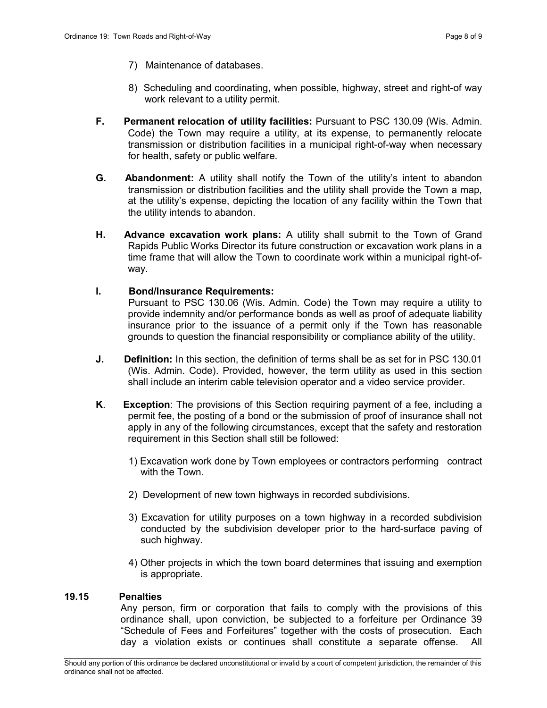- 7) Maintenance of databases.
- 8) Scheduling and coordinating, when possible, highway, street and right-of way work relevant to a utility permit.
- F. Permanent relocation of utility facilities: Pursuant to PSC 130.09 (Wis. Admin. Code) the Town may require a utility, at its expense, to permanently relocate transmission or distribution facilities in a municipal right-of-way when necessary for health, safety or public welfare.
- **G.** Abandonment: A utility shall notify the Town of the utility's intent to abandon transmission or distribution facilities and the utility shall provide the Town a map, at the utility's expense, depicting the location of any facility within the Town that the utility intends to abandon.
- H. Advance excavation work plans: A utility shall submit to the Town of Grand Rapids Public Works Director its future construction or excavation work plans in a time frame that will allow the Town to coordinate work within a municipal right-ofway.
- I. Bond/Insurance Requirements:

 Pursuant to PSC 130.06 (Wis. Admin. Code) the Town may require a utility to provide indemnity and/or performance bonds as well as proof of adequate liability insurance prior to the issuance of a permit only if the Town has reasonable grounds to question the financial responsibility or compliance ability of the utility.

- J. Definition: In this section, the definition of terms shall be as set for in PSC 130.01 (Wis. Admin. Code). Provided, however, the term utility as used in this section shall include an interim cable television operator and a video service provider.
- K. Exception: The provisions of this Section requiring payment of a fee, including a permit fee, the posting of a bond or the submission of proof of insurance shall not apply in any of the following circumstances, except that the safety and restoration requirement in this Section shall still be followed:
	- 1) Excavation work done by Town employees or contractors performing contract with the Town.
	- 2) Development of new town highways in recorded subdivisions.
	- 3) Excavation for utility purposes on a town highway in a recorded subdivision conducted by the subdivision developer prior to the hard-surface paving of such highway.
	- 4) Other projects in which the town board determines that issuing and exemption is appropriate.

#### 19.15 Penalties

Any person, firm or corporation that fails to comply with the provisions of this ordinance shall, upon conviction, be subjected to a forfeiture per Ordinance 39 "Schedule of Fees and Forfeitures" together with the costs of prosecution. Each day a violation exists or continues shall constitute a separate offense. All